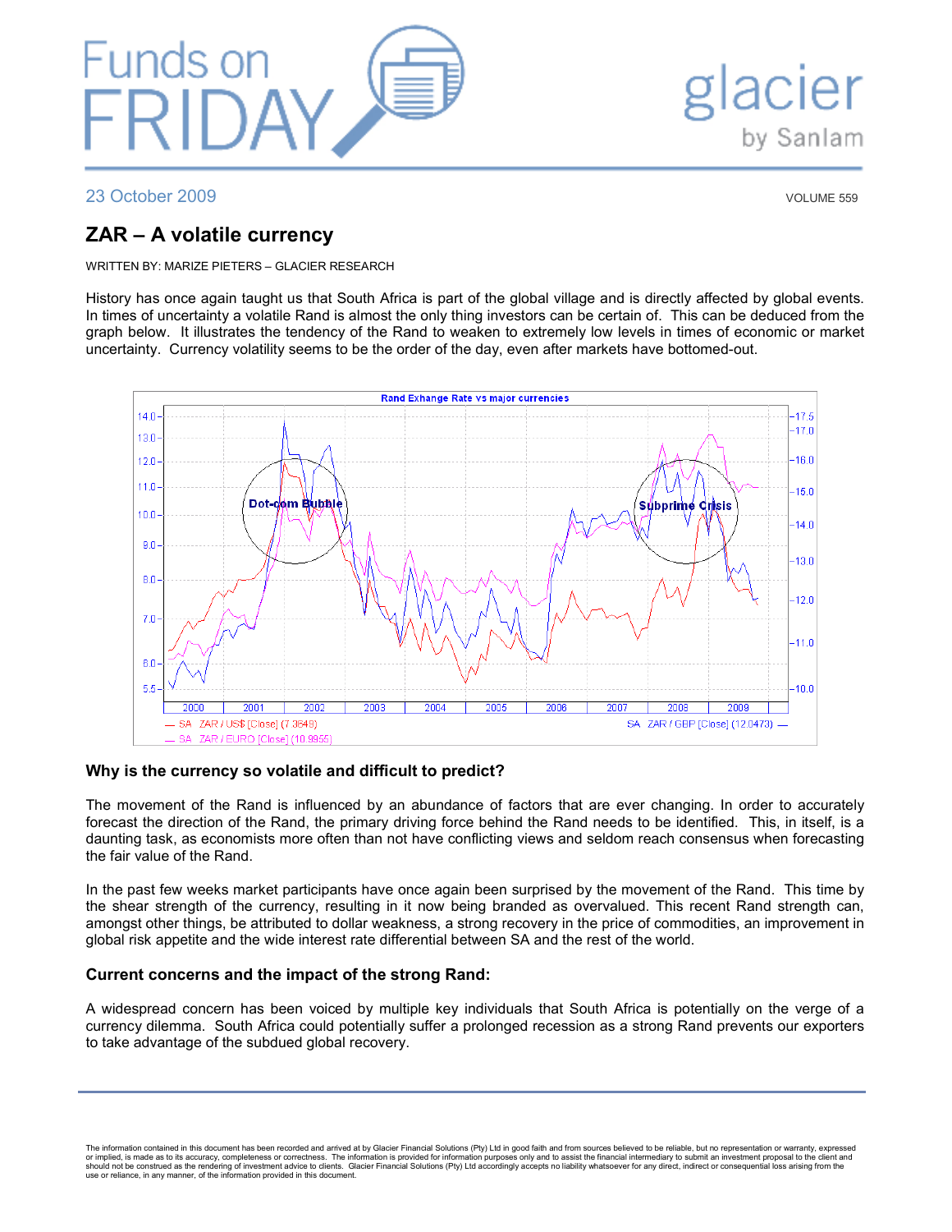

# lacier by Sanlam

23 October 2009 VOLUME 559

# ZAR – A volatile currency

WRITTEN BY: MARIZE PIETERS – GLACIER RESEARCH

History has once again taught us that South Africa is part of the global village and is directly affected by global events. In times of uncertainty a volatile Rand is almost the only thing investors can be certain of. This can be deduced from the graph below. It illustrates the tendency of the Rand to weaken to extremely low levels in times of economic or market uncertainty. Currency volatility seems to be the order of the day, even after markets have bottomed-out.



## Why is the currency so volatile and difficult to predict?

The movement of the Rand is influenced by an abundance of factors that are ever changing. In order to accurately forecast the direction of the Rand, the primary driving force behind the Rand needs to be identified. This, in itself, is a daunting task, as economists more often than not have conflicting views and seldom reach consensus when forecasting the fair value of the Rand.

In the past few weeks market participants have once again been surprised by the movement of the Rand. This time by the shear strength of the currency, resulting in it now being branded as overvalued. This recent Rand strength can, amongst other things, be attributed to dollar weakness, a strong recovery in the price of commodities, an improvement in global risk appetite and the wide interest rate differential between SA and the rest of the world.

## Current concerns and the impact of the strong Rand:

A widespread concern has been voiced by multiple key individuals that South Africa is potentially on the verge of a currency dilemma. South Africa could potentially suffer a prolonged recession as a strong Rand prevents our exporters to take advantage of the subdued global recovery.

The information contained in this document has been recorded and arrived at by Glacier Financial Solutions (Pty) Ltd in good faith and from sources believed to be reliable, but no representation or warranty, expressed or implied, is made as to its accuracy, completeness or correctness. The information is provided for information purposes only and to assist the financial intermediary to submit an investment proposal to the client and<br>sho use or reliance, in any manner, of the information provided in this document.